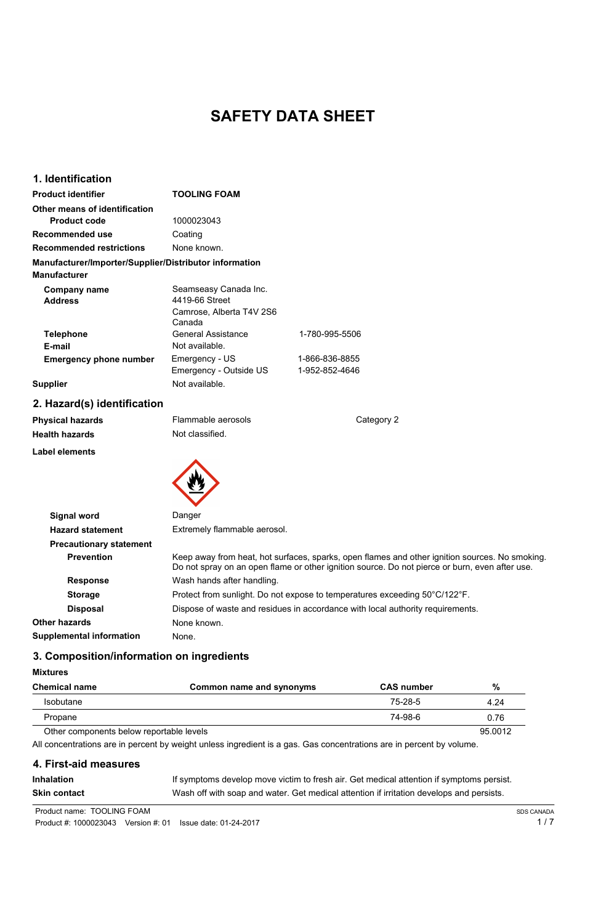# **SAFETY DATA SHEET**

# **1. Identification**

| <b>Product identifier</b>                              | <b>TOOLING FOAM</b>                                                           |                                  |
|--------------------------------------------------------|-------------------------------------------------------------------------------|----------------------------------|
| <b>Other means of identification</b>                   |                                                                               |                                  |
| <b>Product code</b>                                    | 1000023043                                                                    |                                  |
| <b>Recommended use</b>                                 | Coating                                                                       |                                  |
| <b>Recommended restrictions</b>                        | None known.                                                                   |                                  |
| Manufacturer/Importer/Supplier/Distributor information |                                                                               |                                  |
| <b>Manufacturer</b>                                    |                                                                               |                                  |
| <b>Company name</b><br><b>Address</b>                  | Seamseasy Canada Inc.<br>4419-66 Street<br>Camrose, Alberta T4V 2S6<br>Canada |                                  |
| <b>Telephone</b><br>E-mail                             | <b>General Assistance</b><br>Not available.                                   | 1-780-995-5506                   |
| <b>Emergency phone number</b>                          | Emergency - US<br>Emergency - Outside US                                      | 1-866-836-8855<br>1-952-852-4646 |
| <b>Supplier</b>                                        | Not available.                                                                |                                  |

# **2. Hazard(s) identification**

| <b>Physical hazards</b> | Flammable aerosols | Category 2 |
|-------------------------|--------------------|------------|
| <b>Health hazards</b>   | Not classified.    |            |
| <b>Label elements</b>   |                    |            |
|                         |                    |            |



**Signal word Danger** 

| <b>Hazard statement</b>         | Extremely flammable aerosol.                                                                                                                                                                     |
|---------------------------------|--------------------------------------------------------------------------------------------------------------------------------------------------------------------------------------------------|
| <b>Precautionary statement</b>  |                                                                                                                                                                                                  |
| <b>Prevention</b>               | Keep away from heat, hot surfaces, sparks, open flames and other ignition sources. No smoking.<br>Do not spray on an open flame or other ignition source. Do not pierce or burn, even after use. |
| <b>Response</b>                 | Wash hands after handling.                                                                                                                                                                       |
| <b>Storage</b>                  | Protect from sunlight. Do not expose to temperatures exceeding 50°C/122°F.                                                                                                                       |
| <b>Disposal</b>                 | Dispose of waste and residues in accordance with local authority requirements.                                                                                                                   |
| Other hazards                   | None known.                                                                                                                                                                                      |
| <b>Supplemental information</b> | None.                                                                                                                                                                                            |

# **3. Composition/information on ingredients**

#### **Mixtures**

| <b>Chemical name</b>                     | Common name and synonyms                                                                                             | <b>CAS number</b> | $\%$              |
|------------------------------------------|----------------------------------------------------------------------------------------------------------------------|-------------------|-------------------|
| <b>Isobutane</b>                         |                                                                                                                      | $75 - 28 - 5$     | 4.24              |
| Propane                                  |                                                                                                                      | 74-98-6           | 0.76              |
| Other components below reportable levels |                                                                                                                      |                   | 95.0012           |
|                                          | All concentrations are in percent by weight unless ingredient is a gas. Gas concentrations are in percent by volume. |                   |                   |
| 4. First-aid measures                    |                                                                                                                      |                   |                   |
| <b>Inhalation</b>                        | If symptoms develop move victim to fresh air. Get medical attention if symptoms persist.                             |                   |                   |
| <b>Skin contact</b>                      | Wash off with soap and water. Get medical attention if irritation develops and persists.                             |                   |                   |
| Product name: TOOLING FOAM               |                                                                                                                      |                   | <b>SDS CANADA</b> |
| Product #: 1000023043                    | Version $#: 01$<br>Issue date: 01-24-2017                                                                            |                   | 1 / 7             |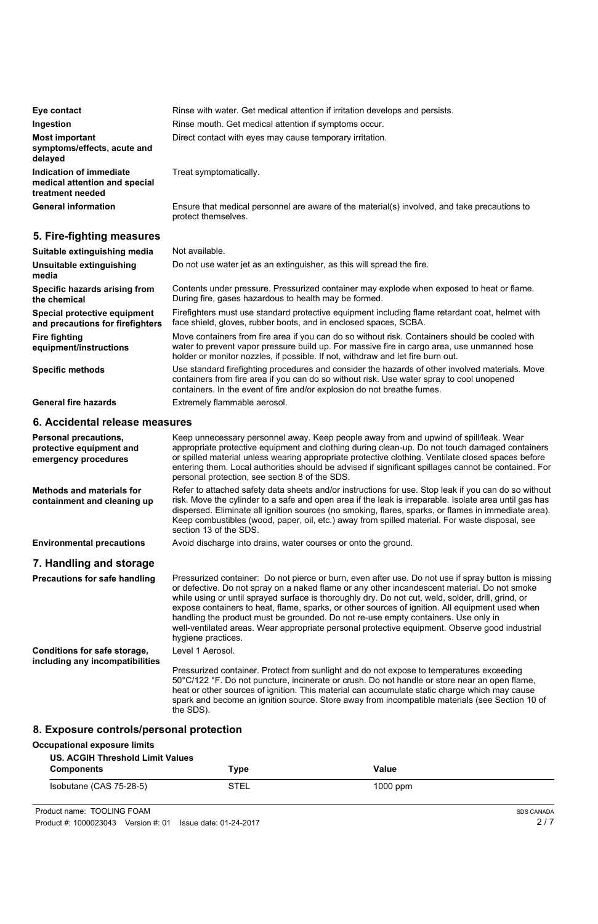| Eye contact                                                                  | Rinse with water. Get medical attention if irritation develops and persists.                                        |  |
|------------------------------------------------------------------------------|---------------------------------------------------------------------------------------------------------------------|--|
| Ingestion                                                                    | Rinse mouth. Get medical attention if symptoms occur.                                                               |  |
| <b>Most important</b><br>symptoms/effects, acute and<br>delayed              | Direct contact with eyes may cause temporary irritation.                                                            |  |
| Indication of immediate<br>medical attention and special<br>treatment needed | Treat symptomatically.                                                                                              |  |
| <b>General information</b>                                                   | Ensure that medical personnel are aware of the material(s) involved, and take precautions to<br>protect themselves. |  |

# **5. Fire-fighting measures**

| Suitable extinguishing media                                     | Not available.                                                                                                                                                                                                                                                                   |
|------------------------------------------------------------------|----------------------------------------------------------------------------------------------------------------------------------------------------------------------------------------------------------------------------------------------------------------------------------|
| Unsuitable extinguishing<br>media                                | Do not use water jet as an extinguisher, as this will spread the fire.                                                                                                                                                                                                           |
| Specific hazards arising from<br>the chemical                    | Contents under pressure. Pressurized container may explode when exposed to heat or flame.<br>During fire, gases hazardous to health may be formed.                                                                                                                               |
| Special protective equipment<br>and precautions for firefighters | Firefighters must use standard protective equipment including flame retardant coat, helmet with<br>face shield, gloves, rubber boots, and in enclosed spaces, SCBA.                                                                                                              |
| <b>Fire fighting</b><br>equipment/instructions                   | Move containers from fire area if you can do so without risk. Containers should be cooled with<br>water to prevent vapor pressure build up. For massive fire in cargo area, use unmanned hose<br>holder or monitor nozzles, if possible. If not, withdraw and let fire burn out. |
| <b>Specific methods</b>                                          | Use standard firefighting procedures and consider the hazards of other involved materials. Move<br>containers from fire area if you can do so without risk. Use water spray to cool unopened<br>containers. In the event of fire and/or explosion do not breathe fumes.          |
| <b>General fire hazards</b>                                      | Extremely flammable aerosol.                                                                                                                                                                                                                                                     |

## **6. Accidental release measures**

| <b>Personal precautions,</b><br>protective equipment and<br>emergency procedures | Keep unnecessary personnel away. Keep people away from and upwind of spill/leak. Wear<br>appropriate protective equipment and clothing during clean-up. Do not touch damaged containers<br>or spilled material unless wearing appropriate protective clothing. Ventilate closed spaces before<br>entering them. Local authorities should be advised if significant spillages cannot be contained. For<br>personal protection, see section 8 of the SDS.                                                                                                                                                                    |
|----------------------------------------------------------------------------------|----------------------------------------------------------------------------------------------------------------------------------------------------------------------------------------------------------------------------------------------------------------------------------------------------------------------------------------------------------------------------------------------------------------------------------------------------------------------------------------------------------------------------------------------------------------------------------------------------------------------------|
| <b>Methods and materials for</b><br>containment and cleaning up                  | Refer to attached safety data sheets and/or instructions for use. Stop leak if you can do so without<br>risk. Move the cylinder to a safe and open area if the leak is irreparable. Isolate area until gas has<br>dispersed. Eliminate all ignition sources (no smoking, flares, sparks, or flames in immediate area).<br>Keep combustibles (wood, paper, oil, etc.) away from spilled material. For waste disposal, see<br>section 13 of the SDS.                                                                                                                                                                         |
| <b>Environmental precautions</b>                                                 | Avoid discharge into drains, water courses or onto the ground.                                                                                                                                                                                                                                                                                                                                                                                                                                                                                                                                                             |
| 7. Handling and storage                                                          |                                                                                                                                                                                                                                                                                                                                                                                                                                                                                                                                                                                                                            |
| <b>Precautions for safe handling</b>                                             | Pressurized container: Do not pierce or burn, even after use. Do not use if spray button is missing<br>or defective. Do not spray on a naked flame or any other incandescent material. Do not smoke<br>while using or until sprayed surface is thoroughly dry. Do not cut, weld, solder, drill, grind, or<br>expose containers to heat, flame, sparks, or other sources of ignition. All equipment used when<br>handling the product must be grounded. Do not re-use empty containers. Use only in<br>well-ventilated areas. Wear appropriate personal protective equipment. Observe good industrial<br>hygiene practices. |

Level 1 Aerosol.

Pressurized container. Protect from sunlight and do not expose to temperatures exceeding 50°C/122 °F. Do not puncture, incinerate or crush. Do not handle or store near an open flame, heat or other sources of ignition. This material can accumulate static charge which may cause spark and become an ignition source. Store away from incompatible materials (see Section 10 of the SDS).

**Conditions for safe storage, including any incompatibilities**

# **8. Exposure controls/personal protection**

**Occupational exposure limits**

| <b>US. ACGIH Threshold Limit Values</b><br><b>Components</b>     | Type        | <b>Value</b> |                   |
|------------------------------------------------------------------|-------------|--------------|-------------------|
| Isobutane (CAS 75-28-5)                                          | <b>STEL</b> | $1000$ ppm   |                   |
| Product name: TOOLING FOAM                                       |             |              | <b>SDS CANADA</b> |
| Product #: 1000023043    Version #: 01    Issue date: 01-24-2017 |             |              | 2/7               |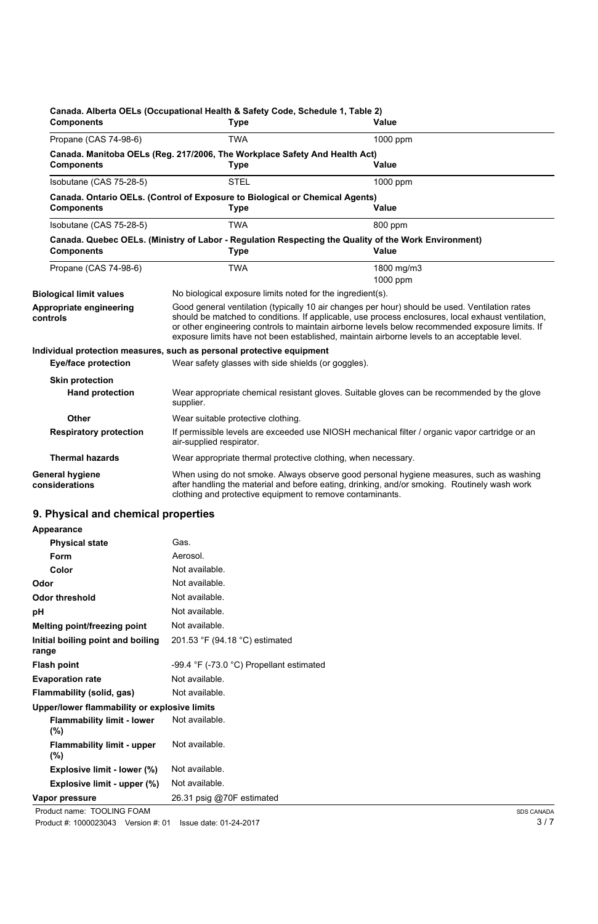| <b>Components</b>                                | Canada. Alberta OELs (Occupational Health & Safety Code, Schedule 1, Table 2)<br><b>Type</b>                                                                                                                                                                                                                                                                                                           | <b>Value</b>                                                                                                                                                                            |
|--------------------------------------------------|--------------------------------------------------------------------------------------------------------------------------------------------------------------------------------------------------------------------------------------------------------------------------------------------------------------------------------------------------------------------------------------------------------|-----------------------------------------------------------------------------------------------------------------------------------------------------------------------------------------|
| Propane (CAS 74-98-6)                            | <b>TWA</b><br>1000 ppm                                                                                                                                                                                                                                                                                                                                                                                 |                                                                                                                                                                                         |
| <b>Components</b>                                | Canada. Manitoba OELs (Reg. 217/2006, The Workplace Safety And Health Act)<br><b>Type</b>                                                                                                                                                                                                                                                                                                              | <b>Value</b>                                                                                                                                                                            |
| Isobutane (CAS 75-28-5)                          | <b>STEL</b><br>1000 ppm                                                                                                                                                                                                                                                                                                                                                                                |                                                                                                                                                                                         |
| <b>Components</b>                                | Canada. Ontario OELs. (Control of Exposure to Biological or Chemical Agents)<br><b>Type</b>                                                                                                                                                                                                                                                                                                            | <b>Value</b>                                                                                                                                                                            |
| Isobutane (CAS 75-28-5)                          | <b>TWA</b>                                                                                                                                                                                                                                                                                                                                                                                             | 800 ppm                                                                                                                                                                                 |
| <b>Components</b>                                | <b>Type</b>                                                                                                                                                                                                                                                                                                                                                                                            | Canada. Quebec OELs. (Ministry of Labor - Regulation Respecting the Quality of the Work Environment)<br><b>Value</b>                                                                    |
| Propane (CAS 74-98-6)                            | <b>TWA</b>                                                                                                                                                                                                                                                                                                                                                                                             | 1800 mg/m3<br>1000 ppm                                                                                                                                                                  |
| <b>Biological limit values</b>                   | No biological exposure limits noted for the ingredient(s).                                                                                                                                                                                                                                                                                                                                             |                                                                                                                                                                                         |
| Appropriate engineering<br>controls              | Good general ventilation (typically 10 air changes per hour) should be used. Ventilation rates<br>should be matched to conditions. If applicable, use process enclosures, local exhaust ventilation,<br>or other engineering controls to maintain airborne levels below recommended exposure limits. If<br>exposure limits have not been established, maintain airborne levels to an acceptable level. |                                                                                                                                                                                         |
|                                                  | Individual protection measures, such as personal protective equipment                                                                                                                                                                                                                                                                                                                                  |                                                                                                                                                                                         |
| <b>Eye/face protection</b>                       | Wear safety glasses with side shields (or goggles).                                                                                                                                                                                                                                                                                                                                                    |                                                                                                                                                                                         |
| <b>Skin protection</b><br><b>Hand protection</b> | supplier.                                                                                                                                                                                                                                                                                                                                                                                              | Wear appropriate chemical resistant gloves. Suitable gloves can be recommended by the glove                                                                                             |
| <b>Other</b>                                     | Wear suitable protective clothing.                                                                                                                                                                                                                                                                                                                                                                     |                                                                                                                                                                                         |
| <b>Respiratory protection</b>                    | If permissible levels are exceeded use NIOSH mechanical filter / organic vapor cartridge or an<br>air-supplied respirator.                                                                                                                                                                                                                                                                             |                                                                                                                                                                                         |
| <b>Thermal hazards</b>                           | Wear appropriate thermal protective clothing, when necessary.                                                                                                                                                                                                                                                                                                                                          |                                                                                                                                                                                         |
| <b>General hygiene</b><br>considerations         | clothing and protective equipment to remove contaminants.                                                                                                                                                                                                                                                                                                                                              | When using do not smoke. Always observe good personal hygiene measures, such as washing<br>after handling the material and before eating, drinking, and/or smoking. Routinely wash work |

#### **9. Physical and chemical properties**

| Appearance                                   |                                          |                   |
|----------------------------------------------|------------------------------------------|-------------------|
| <b>Physical state</b>                        | Gas.                                     |                   |
| <b>Form</b>                                  | Aerosol.                                 |                   |
| Color                                        | Not available.                           |                   |
| Odor                                         | Not available.                           |                   |
| <b>Odor threshold</b>                        | Not available.                           |                   |
| рH                                           | Not available.                           |                   |
| <b>Melting point/freezing point</b>          | Not available.                           |                   |
| Initial boiling point and boiling<br>range   | 201.53 °F (94.18 °C) estimated           |                   |
| <b>Flash point</b>                           | -99.4 °F (-73.0 °C) Propellant estimated |                   |
| <b>Evaporation rate</b>                      | Not available.                           |                   |
| <b>Flammability (solid, gas)</b>             | Not available.                           |                   |
| Upper/lower flammability or explosive limits |                                          |                   |
| <b>Flammability limit - lower</b><br>(%)     | Not available.                           |                   |
| <b>Flammability limit - upper</b><br>(%)     | Not available.                           |                   |
| <b>Explosive limit - lower (%)</b>           | Not available.                           |                   |
| Explosive limit - upper (%)                  | Not available.                           |                   |
| Vapor pressure                               | 26.31 psig @70F estimated                |                   |
| Product name: TOOLING FOAM                   |                                          | <b>SDS CANADA</b> |
| Product #: 1000023043 Version #: 01          | Issue date: 01-24-2017                   | 3/7               |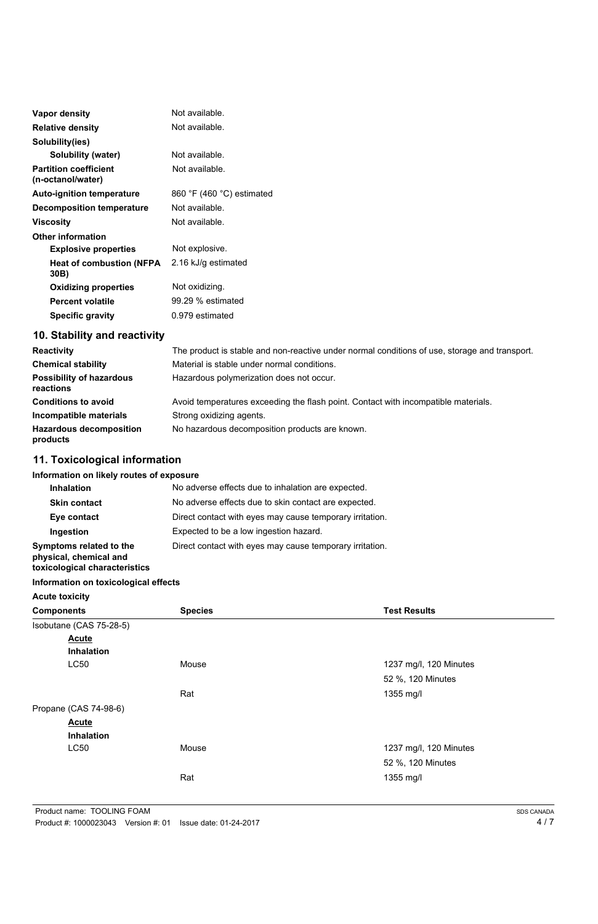| <b>Vapor density</b>                              | Not available.            |  |
|---------------------------------------------------|---------------------------|--|
| <b>Relative density</b>                           | Not available.            |  |
| Solubility(ies)                                   |                           |  |
| <b>Solubility (water)</b>                         | Not available.            |  |
| <b>Partition coefficient</b><br>(n-octanol/water) | Not available.            |  |
| <b>Auto-ignition temperature</b>                  | 860 °F (460 °C) estimated |  |
| <b>Decomposition temperature</b>                  | Not available.            |  |
| Viscosity                                         | Not available.            |  |
| <b>Other information</b>                          |                           |  |
| <b>Explosive properties</b>                       | Not explosive.            |  |
| <b>Heat of combustion (NFPA)</b><br>30B)          | 2.16 kJ/g estimated       |  |
| <b>Oxidizing properties</b>                       | Not oxidizing.            |  |
| <b>Percent volatile</b>                           | 99.29 % estimated         |  |
| <b>Specific gravity</b>                           | 0.979 estimated           |  |

# **10. Stability and reactivity**

| <b>Reactivity</b>                            | The product is stable and non-reactive under normal conditions of use, storage and transport. |
|----------------------------------------------|-----------------------------------------------------------------------------------------------|
| <b>Chemical stability</b>                    | Material is stable under normal conditions.                                                   |
| <b>Possibility of hazardous</b><br>reactions | Hazardous polymerization does not occur.                                                      |
| <b>Conditions to avoid</b>                   | Avoid temperatures exceeding the flash point. Contact with incompatible materials.            |
| Incompatible materials                       | Strong oxidizing agents.                                                                      |
| <b>Hazardous decomposition</b><br>products   | No hazardous decomposition products are known.                                                |

# **11. Toxicological information**

## **Information on likely routes of exposure**

| <b>Inhalation</b>                                                                  |                                                                                                    | No adverse effects due to inhalation are expected.                                                               |  |  |
|------------------------------------------------------------------------------------|----------------------------------------------------------------------------------------------------|------------------------------------------------------------------------------------------------------------------|--|--|
| <b>Skin contact</b>                                                                |                                                                                                    | No adverse effects due to skin contact are expected.<br>Direct contact with eyes may cause temporary irritation. |  |  |
| Eye contact                                                                        |                                                                                                    |                                                                                                                  |  |  |
| Ingestion                                                                          | Expected to be a low ingestion hazard.<br>Direct contact with eyes may cause temporary irritation. |                                                                                                                  |  |  |
| Symptoms related to the<br>physical, chemical and<br>toxicological characteristics |                                                                                                    |                                                                                                                  |  |  |
| Information on toxicological effects                                               |                                                                                                    |                                                                                                                  |  |  |
| <b>Acute toxicity</b>                                                              |                                                                                                    |                                                                                                                  |  |  |
| <b>Components</b>                                                                  | <b>Species</b>                                                                                     | <b>Test Results</b>                                                                                              |  |  |
| Isobutane (CAS 75-28-5)                                                            |                                                                                                    |                                                                                                                  |  |  |
| <b>Acute</b>                                                                       |                                                                                                    |                                                                                                                  |  |  |
| <b>Inhalation</b>                                                                  |                                                                                                    |                                                                                                                  |  |  |
| LC50                                                                               | Mouse                                                                                              | 1237 mg/l, 120 Minutes                                                                                           |  |  |

|       | 52 %, 120 Minutes      |
|-------|------------------------|
| Rat   | 1355 mg/l              |
|       |                        |
|       |                        |
|       |                        |
| Mouse | 1237 mg/l, 120 Minutes |
|       | 52 %, 120 Minutes      |
| Rat   | 1355 mg/l              |
|       |                        |

4 / 7

| Product name: TOOLING FOAM |                                                            |
|----------------------------|------------------------------------------------------------|
|                            | Product #: 1000023043 Version #: 01 Issue date: 01-24-2017 |

SDS CANADA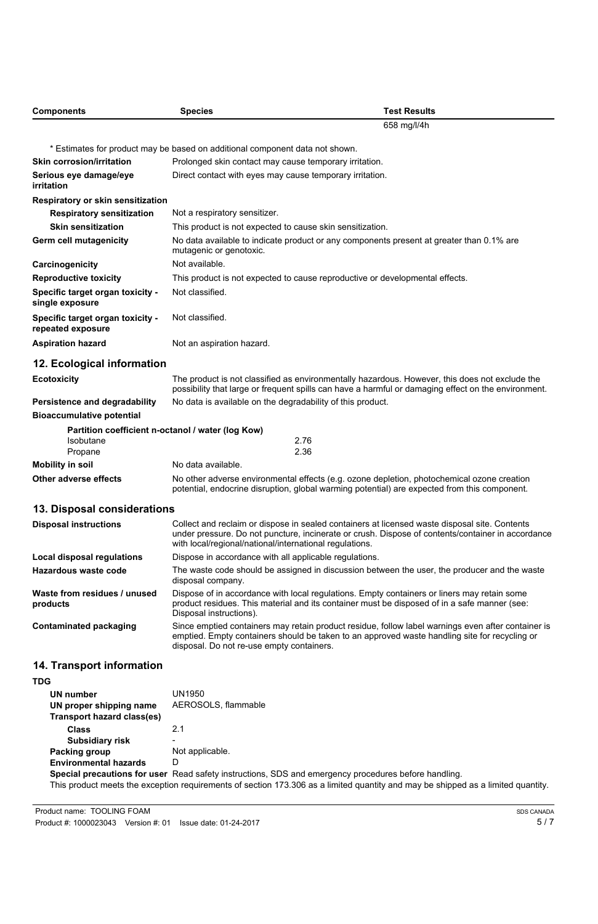| <b>Components</b>                                     | <b>Species</b>                                                                                                                                                                                                                                                | <b>Test Results</b>                                                                                |  |
|-------------------------------------------------------|---------------------------------------------------------------------------------------------------------------------------------------------------------------------------------------------------------------------------------------------------------------|----------------------------------------------------------------------------------------------------|--|
|                                                       |                                                                                                                                                                                                                                                               | 658 mg/l/4h                                                                                        |  |
|                                                       | * Estimates for product may be based on additional component data not shown.                                                                                                                                                                                  |                                                                                                    |  |
| <b>Skin corrosion/irritation</b>                      | Prolonged skin contact may cause temporary irritation.                                                                                                                                                                                                        |                                                                                                    |  |
| Serious eye damage/eye<br>irritation                  | Direct contact with eyes may cause temporary irritation.                                                                                                                                                                                                      |                                                                                                    |  |
| Respiratory or skin sensitization                     |                                                                                                                                                                                                                                                               |                                                                                                    |  |
| <b>Respiratory sensitization</b>                      | Not a respiratory sensitizer.                                                                                                                                                                                                                                 |                                                                                                    |  |
| <b>Skin sensitization</b>                             | This product is not expected to cause skin sensitization.                                                                                                                                                                                                     |                                                                                                    |  |
| <b>Germ cell mutagenicity</b>                         | No data available to indicate product or any components present at greater than 0.1% are<br>mutagenic or genotoxic.                                                                                                                                           |                                                                                                    |  |
| Carcinogenicity                                       | Not available.                                                                                                                                                                                                                                                |                                                                                                    |  |
| <b>Reproductive toxicity</b>                          |                                                                                                                                                                                                                                                               | This product is not expected to cause reproductive or developmental effects.                       |  |
| Specific target organ toxicity -<br>single exposure   | Not classified.                                                                                                                                                                                                                                               |                                                                                                    |  |
| Specific target organ toxicity -<br>repeated exposure | Not classified.                                                                                                                                                                                                                                               |                                                                                                    |  |
| <b>Aspiration hazard</b>                              | Not an aspiration hazard.                                                                                                                                                                                                                                     |                                                                                                    |  |
| 12. Ecological information                            |                                                                                                                                                                                                                                                               |                                                                                                    |  |
| <b>Ecotoxicity</b>                                    | The product is not classified as environmentally hazardous. However, this does not exclude the<br>possibility that large or frequent spills can have a harmful or damaging effect on the environment.                                                         |                                                                                                    |  |
| <b>Persistence and degradability</b>                  | No data is available on the degradability of this product.                                                                                                                                                                                                    |                                                                                                    |  |
| <b>Bioaccumulative potential</b>                      |                                                                                                                                                                                                                                                               |                                                                                                    |  |
|                                                       | Partition coefficient n-octanol / water (log Kow)                                                                                                                                                                                                             |                                                                                                    |  |
| <b>Isobutane</b>                                      | 2.76                                                                                                                                                                                                                                                          |                                                                                                    |  |
| Propane                                               | 2.36<br>No data available.                                                                                                                                                                                                                                    |                                                                                                    |  |
| <b>Mobility in soil</b>                               |                                                                                                                                                                                                                                                               |                                                                                                    |  |
| <b>Other adverse effects</b>                          | No other adverse environmental effects (e.g. ozone depletion, photochemical ozone creation<br>potential, endocrine disruption, global warming potential) are expected from this component.                                                                    |                                                                                                    |  |
| 13. Disposal considerations                           |                                                                                                                                                                                                                                                               |                                                                                                    |  |
| <b>Disposal instructions</b>                          | Collect and reclaim or dispose in sealed containers at licensed waste disposal site. Contents<br>under pressure. Do not puncture, incinerate or crush. Dispose of contents/container in accordance<br>with local/regional/national/international regulations. |                                                                                                    |  |
| <b>Local disposal regulations</b>                     | Dispose in accordance with all applicable regulations.                                                                                                                                                                                                        |                                                                                                    |  |
| <b>Hazardous waste code</b>                           | The waste code should be assigned in discussion between the user, the producer and the waste<br>disposal company.                                                                                                                                             |                                                                                                    |  |
| Waste from residues / unused<br>products              | Dispose of in accordance with local regulations. Empty containers or liners may retain some<br>product residues. This material and its container must be disposed of in a safe manner (see:<br>Disposal instructions).                                        |                                                                                                    |  |
| <b>Contaminated packaging</b>                         |                                                                                                                                                                                                                                                               | Since emptied containers may retain product residue, follow label warnings even after container is |  |

emptied. Empty containers should be taken to an approved waste handling site for recycling or

disposal. Do not re-use empty containers.

# **14. Transport information**

**TDG**

| UN number<br>UN proper shipping name<br><b>Transport hazard class(es)</b> | UN1950<br>AEROSOLS, flammable                                                                                                                                                                                                            |
|---------------------------------------------------------------------------|------------------------------------------------------------------------------------------------------------------------------------------------------------------------------------------------------------------------------------------|
| <b>Class</b>                                                              | 2.1                                                                                                                                                                                                                                      |
| <b>Subsidiary risk</b>                                                    | $\overline{\phantom{0}}$                                                                                                                                                                                                                 |
| Packing group                                                             | Not applicable.                                                                                                                                                                                                                          |
| <b>Environmental hazards</b>                                              | D                                                                                                                                                                                                                                        |
|                                                                           | Special precautions for user Read safety instructions, SDS and emergency procedures before handling.<br>This product meets the exception requirements of section 173.306 as a limited quantity and may be shipped as a limited quantity. |

5 / 7

| Product name: TOOLING FOAM                                 |  |  |
|------------------------------------------------------------|--|--|
| Product #: 1000023043 Version #: 01 Issue date: 01-24-2017 |  |  |

SDS CANADA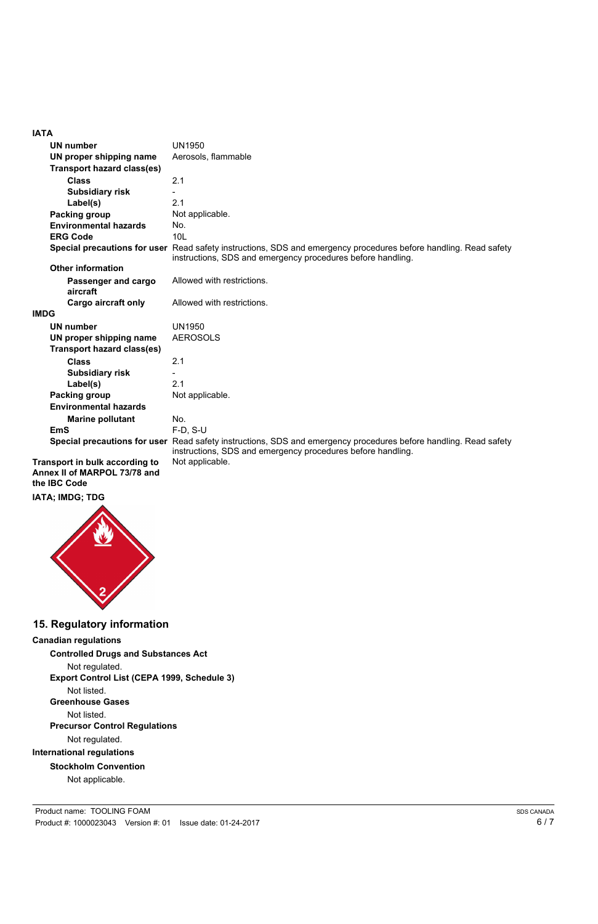#### **IATA**

| <b>UN number</b>                  | <b>UN1950</b>                                                                                                                                                                   |  |  |  |
|-----------------------------------|---------------------------------------------------------------------------------------------------------------------------------------------------------------------------------|--|--|--|
| UN proper shipping name           | Aerosols, flammable                                                                                                                                                             |  |  |  |
| <b>Transport hazard class(es)</b> |                                                                                                                                                                                 |  |  |  |
| <b>Class</b>                      | 2.1                                                                                                                                                                             |  |  |  |
| <b>Subsidiary risk</b>            |                                                                                                                                                                                 |  |  |  |
| Label(s)                          | 2.1                                                                                                                                                                             |  |  |  |
| Packing group                     | Not applicable.                                                                                                                                                                 |  |  |  |
| <b>Environmental hazards</b>      | No.                                                                                                                                                                             |  |  |  |
| <b>ERG Code</b>                   | 10 <sub>L</sub>                                                                                                                                                                 |  |  |  |
|                                   | Special precautions for user Read safety instructions, SDS and emergency procedures before handling. Read safety<br>instructions, SDS and emergency procedures before handling. |  |  |  |
| <b>Other information</b>          |                                                                                                                                                                                 |  |  |  |
| Passenger and cargo<br>aircraft   | Allowed with restrictions.                                                                                                                                                      |  |  |  |
| <b>Cargo aircraft only</b>        | Allowed with restrictions.                                                                                                                                                      |  |  |  |
| <b>IMDG</b>                       |                                                                                                                                                                                 |  |  |  |
| <b>UN number</b>                  | <b>UN1950</b>                                                                                                                                                                   |  |  |  |
| UN proper shipping name           | <b>AEROSOLS</b>                                                                                                                                                                 |  |  |  |
| <b>Transport hazard class(es)</b> |                                                                                                                                                                                 |  |  |  |
| <b>Class</b>                      | 2.1                                                                                                                                                                             |  |  |  |
| <b>Subsidiary risk</b>            |                                                                                                                                                                                 |  |  |  |
| Label(s)                          | 2.1                                                                                                                                                                             |  |  |  |
| Packing group                     | Not applicable.                                                                                                                                                                 |  |  |  |
| <b>Environmental hazards</b>      |                                                                                                                                                                                 |  |  |  |
| <b>Marine pollutant</b>           | No.                                                                                                                                                                             |  |  |  |
| <b>EmS</b>                        | F-D, S-U                                                                                                                                                                        |  |  |  |
|                                   | Special precautions for user Read safety instructions, SDS and emergency procedures before handling. Read safety<br>instructions, SDS and emergency procedures before handling. |  |  |  |
| Trananart in hulls assarding to   | Not opplicable                                                                                                                                                                  |  |  |  |

**Transport in bulk according to** Not applicable. **Annex II of MARPOL 73/78 and the IBC Code**

**IATA; IMDG; TDG**



# **15. Regulatory information**

## **Canadian regulations**

**Controlled Drugs and Substances Act** Not regulated. **Export Control List (CEPA 1999, Schedule 3)**

Not listed.

#### **Greenhouse Gases**

Not listed. **Precursor Control Regulations**

Not regulated.

#### **International regulations**

#### **Stockholm Convention**

Not applicable.

Product name: TOOLING FOAM Product #: 1000023043 Version #: 01 Issue date: 01-24-2017

6 / 7 SDS CANADA